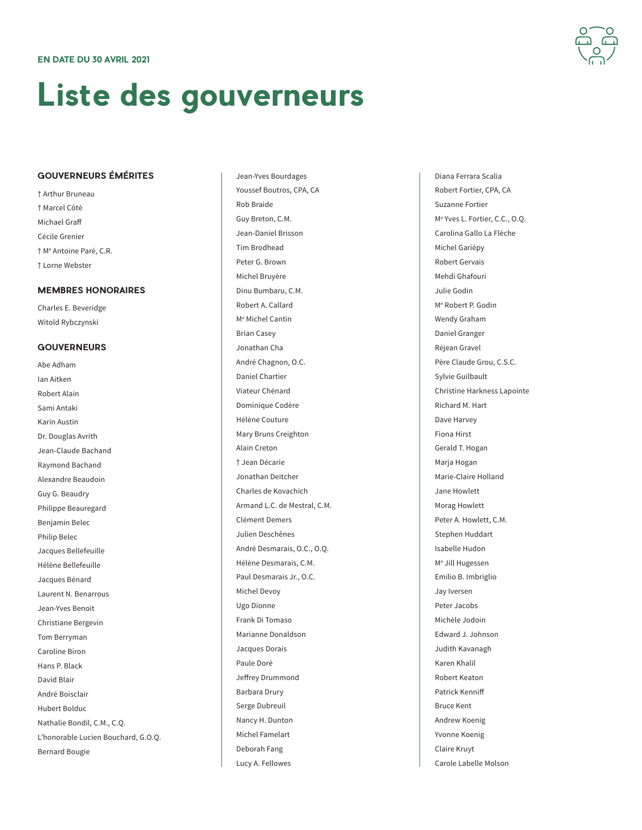## **Liste des gouverneurs**

## **GOUVERNEURS ÉMÉRITES**

† Arthur Bruneau † Marcel Côté Michael Graff Cécile Grenier † Me Antoine Paré, C.R. † Lorne Webster

## **MEMBRES HONORAIRES**

Charles E. Beveridge Witold Rybczynski

## **GOUVERNEURS**

Abe Adham Ian Aitken Robert Alain Sami Antaki Karin Austin Dr. Douglas Avrith Jean-Claude Bachand Raymond Bachand Alexandre Beaudoin Guy G. Beaudry Philippe Beauregard Benjamin Belec Philip Belec Jacques Bellefeuille Hélène Bellefeuille Jacques Bénard Laurent N. Benarrous Jean-Yves Benoit Christiane Bergevin Tom Berryman Caroline Biron Hans P. Black David Blair André Boisclair Hubert Bolduc Nathalie Bondil, C.M., C.Q. L'honorable Lucien Bouchard, G.O.Q. Bernard Bougie

Jean-Yves Bourdages Youssef Boutros, CPA, CA Rob Braide Guy Breton, C.M. Jean-Daniel Brisson Tim Brodhead Peter G. Brown Michel Bruyère Dinu Bumbaru, C.M. Robert A. Callard Me Michel Cantin Brian Casey Jonathan Cha André Chagnon, O.C. Daniel Chartier Viateur Chénard Dominique Codère Hélène Couture Mary Bruns Creighton Alain Creton † Jean Décarie Jonathan Deitcher Charles de Kovachich Armand L.C. de Mestral, C.M. Clément Demers Julien Deschênes André Desmarais, O.C., O.Q. Hélène Desmarais, C.M. Paul Desmarais Jr., O.C. Michel Devoy Ugo Dionne Frank Di Tomaso Marianne Donaldson Jacques Dorais Paule Doré Jeffrey Drummond Barbara Drury Serge Dubreuil Nancy H. Dunton Michel Famelart Deborah Fang Lucy A. Fellowes

Diana Ferrara Scalia Robert Fortier, CPA, CA Suzanne Fortier Me Yves L. Fortier, C.C., O.Q. Carolina Gallo La Flèche Michel Gariépy Robert Gervais Mehdi Ghafouri Julie Godin Me Robert P. Godin Wendy Graham Daniel Granger Réjean Gravel Père Claude Grou, C.S.C. Sylvie Guilbault Christine Harkness Lapointe Richard M. Hart Dave Harvey Fiona Hirst Gerald T. Hogan Marja Hogan Marie-Claire Holland Jane Howlett Morag Howlett Peter A. Howlett, C.M. Stephen Huddart Isabelle Hudon Me Jill Hugessen Emilio B. Imbriglio Jay Iversen Peter Jacobs Michèle Jodoin Edward J. Johnson Judith Kavanagh Karen Khalil Robert Keaton Patrick Kenniff Bruce Kent Andrew Koenig Yvonne Koenig Claire Kruyt Carole Labelle Molson